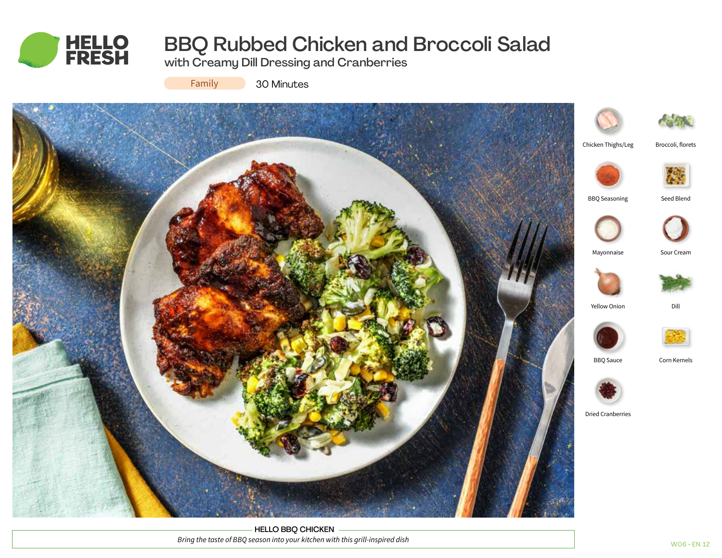

# BBQ Rubbed Chicken and Broccoli Salad

with Creamy Dill Dressing and Cranberries

Family

30 Minutes



HELLO BBQ CHICKEN *Bring the taste of BBQ season into your kitchen with this grill-inspired dish*